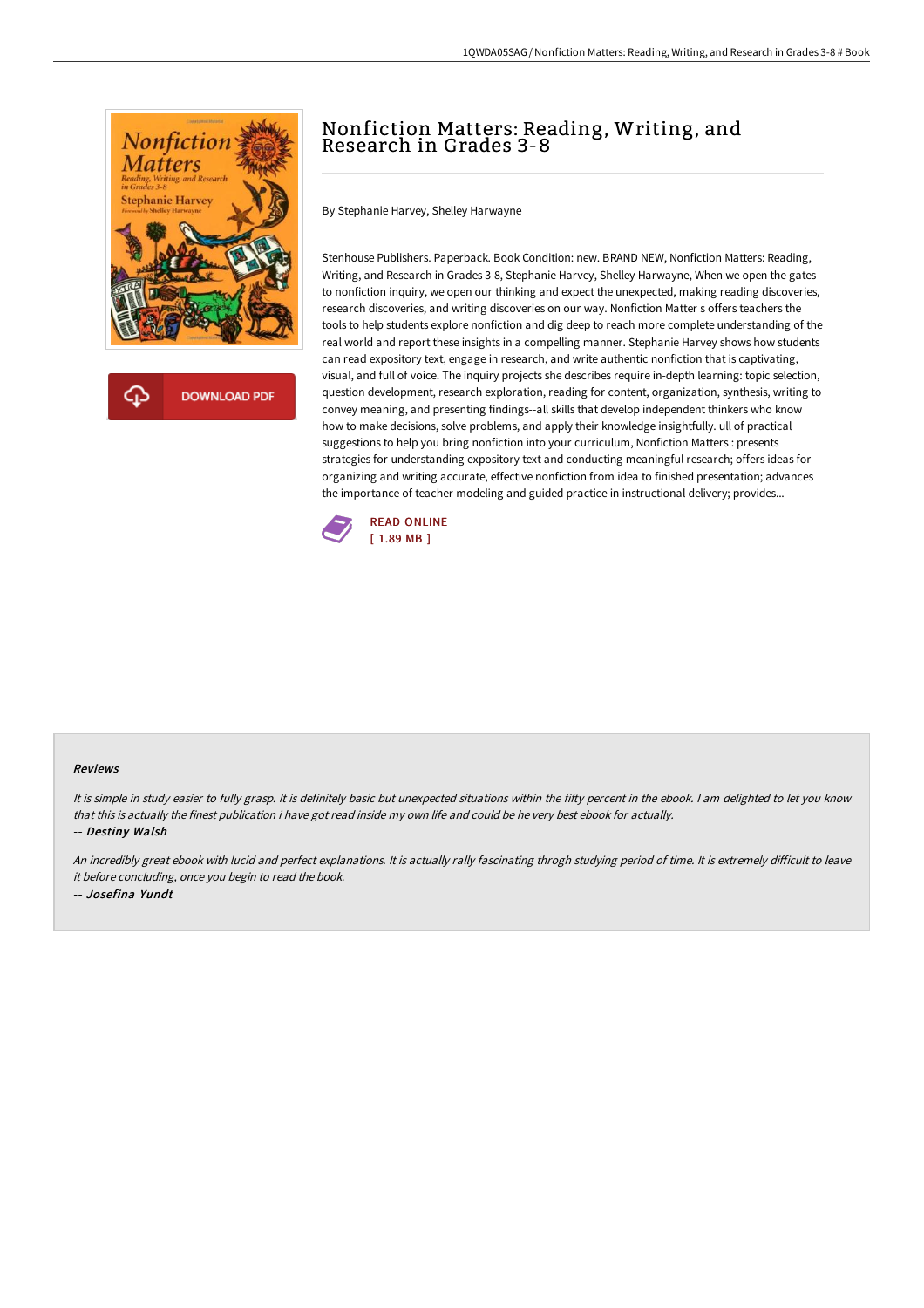

**DOWNLOAD PDF** 

## Nonfiction Matters: Reading, Writing, and Research in Grades 3-8

By Stephanie Harvey, Shelley Harwayne

Stenhouse Publishers. Paperback. Book Condition: new. BRAND NEW, Nonfiction Matters: Reading, Writing, and Research in Grades 3-8, Stephanie Harvey, Shelley Harwayne, When we open the gates to nonfiction inquiry, we open our thinking and expect the unexpected, making reading discoveries, research discoveries, and writing discoveries on our way. Nonfiction Matter s offers teachers the tools to help students explore nonfiction and dig deep to reach more complete understanding of the real world and report these insights in a compelling manner. Stephanie Harvey shows how students can read expository text, engage in research, and write authentic nonfiction that is captivating, visual, and full of voice. The inquiry projects she describes require in-depth learning: topic selection, question development, research exploration, reading for content, organization, synthesis, writing to convey meaning, and presenting findings--all skills that develop independent thinkers who know how to make decisions, solve problems, and apply their knowledge insightfully. ull of practical suggestions to help you bring nonfiction into your curriculum, Nonfiction Matters : presents strategies for understanding expository text and conducting meaningful research; offers ideas for organizing and writing accurate, effective nonfiction from idea to finished presentation; advances the importance of teacher modeling and guided practice in instructional delivery; provides...



## Reviews

It is simple in study easier to fully grasp. It is definitely basic but unexpected situations within the fifty percent in the ebook. I am delighted to let you know that this is actually the finest publication i have got read inside my own life and could be he very best ebook for actually. -- Destiny Walsh

An incredibly great ebook with lucid and perfect explanations. It is actually rally fascinating throgh studying period of time. It is extremely difficult to leave it before concluding, once you begin to read the book. -- Josefina Yundt